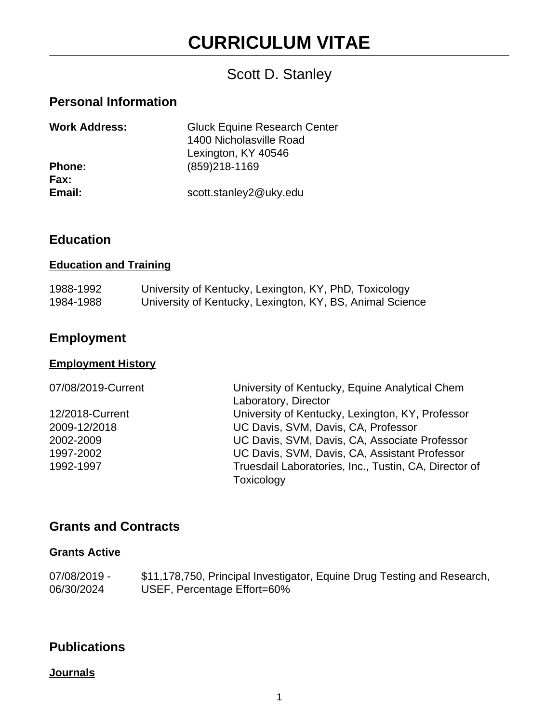# **CURRICULUM VITAE**

# Scott D. Stanley

# **Personal Information**

| <b>Work Address:</b> | <b>Gluck Equine Research Center</b><br>1400 Nicholasville Road<br>Lexington, KY 40546 |
|----------------------|---------------------------------------------------------------------------------------|
|                      |                                                                                       |
| <b>Phone:</b>        | (859)218-1169                                                                         |
| Fax:                 |                                                                                       |
| Email:               | scott.stanley2@uky.edu                                                                |

## **Education**

#### **Education and Training**

| 1988-1992 | University of Kentucky, Lexington, KY, PhD, Toxicology    |
|-----------|-----------------------------------------------------------|
| 1984-1988 | University of Kentucky, Lexington, KY, BS, Animal Science |

# **Employment**

### **Employment History**

| 07/08/2019-Current | University of Kentucky, Equine Analytical Chem        |
|--------------------|-------------------------------------------------------|
|                    | Laboratory, Director                                  |
| 12/2018-Current    | University of Kentucky, Lexington, KY, Professor      |
| 2009-12/2018       | UC Davis, SVM, Davis, CA, Professor                   |
| 2002-2009          | UC Davis, SVM, Davis, CA, Associate Professor         |
| 1997-2002          | UC Davis, SVM, Davis, CA, Assistant Professor         |
| 1992-1997          | Truesdail Laboratories, Inc., Tustin, CA, Director of |
|                    | Toxicology                                            |

### **Grants and Contracts**

#### **Grants Active**

| 07/08/2019 - | \$11,178,750, Principal Investigator, Equine Drug Testing and Research, |
|--------------|-------------------------------------------------------------------------|
| 06/30/2024   | USEF, Percentage Effort=60%                                             |

## **Publications**

#### **Journals**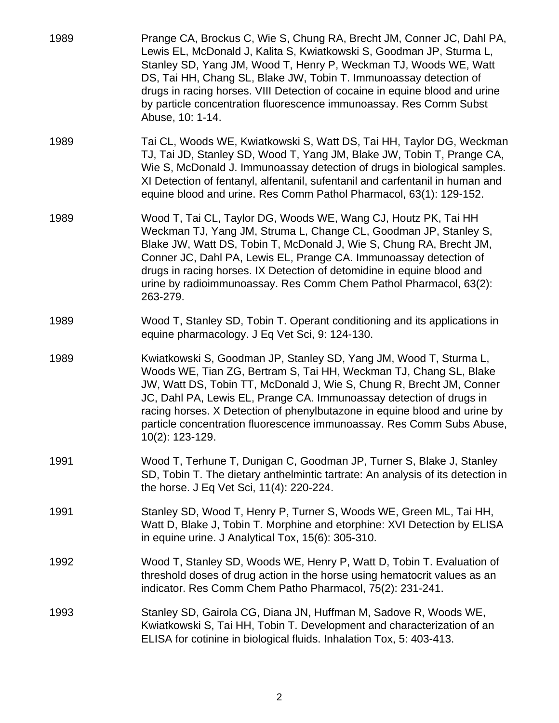| 1989 | Prange CA, Brockus C, Wie S, Chung RA, Brecht JM, Conner JC, Dahl PA,<br>Lewis EL, McDonald J, Kalita S, Kwiatkowski S, Goodman JP, Sturma L,<br>Stanley SD, Yang JM, Wood T, Henry P, Weckman TJ, Woods WE, Watt<br>DS, Tai HH, Chang SL, Blake JW, Tobin T. Immunoassay detection of<br>drugs in racing horses. VIII Detection of cocaine in equine blood and urine<br>by particle concentration fluorescence immunoassay. Res Comm Subst<br>Abuse, 10: 1-14. |
|------|-----------------------------------------------------------------------------------------------------------------------------------------------------------------------------------------------------------------------------------------------------------------------------------------------------------------------------------------------------------------------------------------------------------------------------------------------------------------|
| 1989 | Tai CL, Woods WE, Kwiatkowski S, Watt DS, Tai HH, Taylor DG, Weckman<br>TJ, Tai JD, Stanley SD, Wood T, Yang JM, Blake JW, Tobin T, Prange CA,<br>Wie S, McDonald J. Immunoassay detection of drugs in biological samples.<br>XI Detection of fentanyl, alfentanil, sufentanil and carfentanil in human and<br>equine blood and urine. Res Comm Pathol Pharmacol, 63(1): 129-152.                                                                               |
| 1989 | Wood T, Tai CL, Taylor DG, Woods WE, Wang CJ, Houtz PK, Tai HH<br>Weckman TJ, Yang JM, Struma L, Change CL, Goodman JP, Stanley S,<br>Blake JW, Watt DS, Tobin T, McDonald J, Wie S, Chung RA, Brecht JM,<br>Conner JC, Dahl PA, Lewis EL, Prange CA. Immunoassay detection of<br>drugs in racing horses. IX Detection of detomidine in equine blood and<br>urine by radioimmunoassay. Res Comm Chem Pathol Pharmacol, 63(2):<br>263-279.                       |
| 1989 | Wood T, Stanley SD, Tobin T. Operant conditioning and its applications in<br>equine pharmacology. J Eq Vet Sci, 9: 124-130.                                                                                                                                                                                                                                                                                                                                     |
| 1989 | Kwiatkowski S, Goodman JP, Stanley SD, Yang JM, Wood T, Sturma L,<br>Woods WE, Tian ZG, Bertram S, Tai HH, Weckman TJ, Chang SL, Blake<br>JW, Watt DS, Tobin TT, McDonald J, Wie S, Chung R, Brecht JM, Conner<br>JC, Dahl PA, Lewis EL, Prange CA. Immunoassay detection of drugs in<br>racing horses. X Detection of phenylbutazone in equine blood and urine by<br>particle concentration fluorescence immunoassay. Res Comm Subs Abuse,<br>10(2): 123-129.  |
| 1991 | Wood T, Terhune T, Dunigan C, Goodman JP, Turner S, Blake J, Stanley<br>SD, Tobin T. The dietary anthelmintic tartrate: An analysis of its detection in<br>the horse. J Eq Vet Sci, 11(4): 220-224.                                                                                                                                                                                                                                                             |
| 1991 | Stanley SD, Wood T, Henry P, Turner S, Woods WE, Green ML, Tai HH,<br>Watt D, Blake J, Tobin T. Morphine and etorphine: XVI Detection by ELISA<br>in equine urine. J Analytical Tox, 15(6): 305-310.                                                                                                                                                                                                                                                            |
| 1992 | Wood T, Stanley SD, Woods WE, Henry P, Watt D, Tobin T. Evaluation of<br>threshold doses of drug action in the horse using hematocrit values as an<br>indicator. Res Comm Chem Patho Pharmacol, 75(2): 231-241.                                                                                                                                                                                                                                                 |
| 1993 | Stanley SD, Gairola CG, Diana JN, Huffman M, Sadove R, Woods WE,<br>Kwiatkowski S, Tai HH, Tobin T. Development and characterization of an<br>ELISA for cotinine in biological fluids. Inhalation Tox, 5: 403-413.                                                                                                                                                                                                                                              |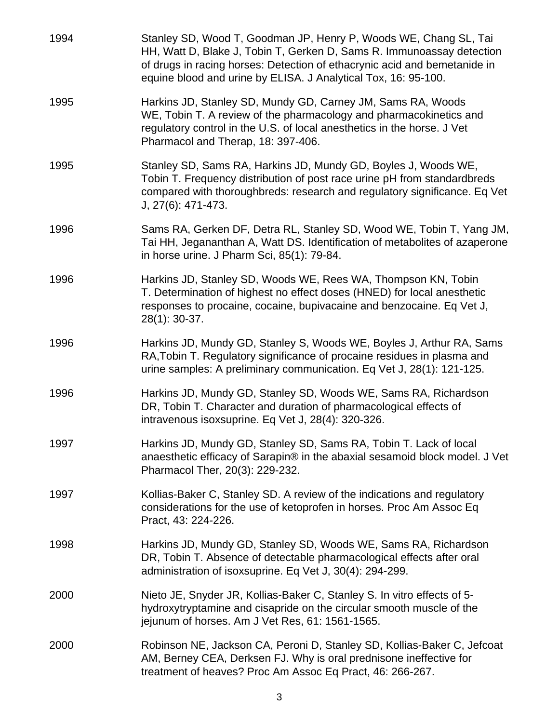| 1994 | Stanley SD, Wood T, Goodman JP, Henry P, Woods WE, Chang SL, Tai<br>HH, Watt D, Blake J, Tobin T, Gerken D, Sams R. Immunoassay detection<br>of drugs in racing horses: Detection of ethacrynic acid and bemetanide in<br>equine blood and urine by ELISA. J Analytical Tox, 16: 95-100. |
|------|------------------------------------------------------------------------------------------------------------------------------------------------------------------------------------------------------------------------------------------------------------------------------------------|
| 1995 | Harkins JD, Stanley SD, Mundy GD, Carney JM, Sams RA, Woods<br>WE, Tobin T. A review of the pharmacology and pharmacokinetics and<br>regulatory control in the U.S. of local anesthetics in the horse. J Vet<br>Pharmacol and Therap, 18: 397-406.                                       |
| 1995 | Stanley SD, Sams RA, Harkins JD, Mundy GD, Boyles J, Woods WE,<br>Tobin T. Frequency distribution of post race urine pH from standardbreds<br>compared with thoroughbreds: research and regulatory significance. Eq Vet<br>J, 27(6): 471-473.                                            |
| 1996 | Sams RA, Gerken DF, Detra RL, Stanley SD, Wood WE, Tobin T, Yang JM,<br>Tai HH, Jegananthan A, Watt DS. Identification of metabolites of azaperone<br>in horse urine. J Pharm Sci, 85(1): 79-84.                                                                                         |
| 1996 | Harkins JD, Stanley SD, Woods WE, Rees WA, Thompson KN, Tobin<br>T. Determination of highest no effect doses (HNED) for local anesthetic<br>responses to procaine, cocaine, bupivacaine and benzocaine. Eq Vet J,<br>28(1): 30-37.                                                       |
| 1996 | Harkins JD, Mundy GD, Stanley S, Woods WE, Boyles J, Arthur RA, Sams<br>RA, Tobin T. Regulatory significance of procaine residues in plasma and<br>urine samples: A preliminary communication. Eq Vet J, 28(1): 121-125.                                                                 |
| 1996 | Harkins JD, Mundy GD, Stanley SD, Woods WE, Sams RA, Richardson<br>DR, Tobin T. Character and duration of pharmacological effects of<br>intravenous isoxsuprine. Eq Vet J, 28(4): 320-326.                                                                                               |
| 1997 | Harkins JD, Mundy GD, Stanley SD, Sams RA, Tobin T. Lack of local<br>anaesthetic efficacy of Sarapin® in the abaxial sesamoid block model. J Vet<br>Pharmacol Ther, 20(3): 229-232.                                                                                                      |
| 1997 | Kollias-Baker C, Stanley SD. A review of the indications and regulatory<br>considerations for the use of ketoprofen in horses. Proc Am Assoc Eq<br>Pract, 43: 224-226.                                                                                                                   |
| 1998 | Harkins JD, Mundy GD, Stanley SD, Woods WE, Sams RA, Richardson<br>DR, Tobin T. Absence of detectable pharmacological effects after oral<br>administration of isoxsuprine. Eq Vet J, 30(4): 294-299.                                                                                     |
| 2000 | Nieto JE, Snyder JR, Kollias-Baker C, Stanley S. In vitro effects of 5-<br>hydroxytryptamine and cisapride on the circular smooth muscle of the<br>jejunum of horses. Am J Vet Res, 61: 1561-1565.                                                                                       |
| 2000 | Robinson NE, Jackson CA, Peroni D, Stanley SD, Kollias-Baker C, Jefcoat<br>AM, Berney CEA, Derksen FJ. Why is oral prednisone ineffective for<br>treatment of heaves? Proc Am Assoc Eq Pract, 46: 266-267.                                                                               |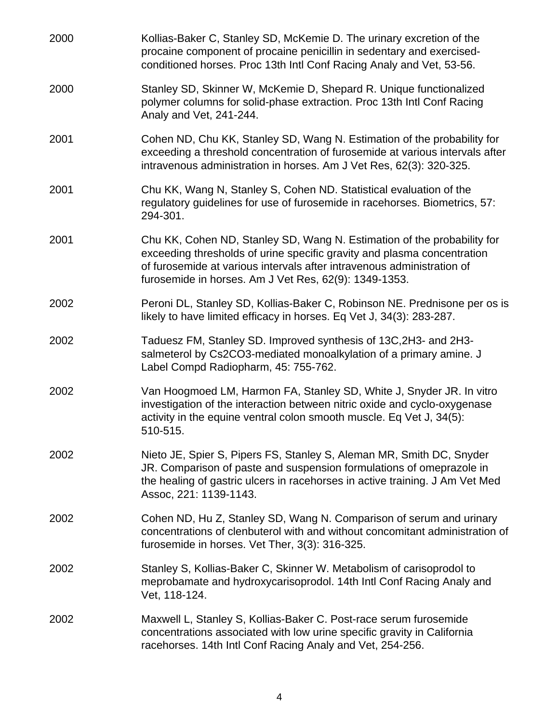| 2000 | Kollias-Baker C, Stanley SD, McKemie D. The urinary excretion of the<br>procaine component of procaine penicillin in sedentary and exercised-<br>conditioned horses. Proc 13th Intl Conf Racing Analy and Vet, 53-56.                                                                 |
|------|---------------------------------------------------------------------------------------------------------------------------------------------------------------------------------------------------------------------------------------------------------------------------------------|
| 2000 | Stanley SD, Skinner W, McKemie D, Shepard R. Unique functionalized<br>polymer columns for solid-phase extraction. Proc 13th Intl Conf Racing<br>Analy and Vet, 241-244.                                                                                                               |
| 2001 | Cohen ND, Chu KK, Stanley SD, Wang N. Estimation of the probability for<br>exceeding a threshold concentration of furosemide at various intervals after<br>intravenous administration in horses. Am J Vet Res, 62(3): 320-325.                                                        |
| 2001 | Chu KK, Wang N, Stanley S, Cohen ND. Statistical evaluation of the<br>regulatory guidelines for use of furosemide in racehorses. Biometrics, 57:<br>294-301.                                                                                                                          |
| 2001 | Chu KK, Cohen ND, Stanley SD, Wang N. Estimation of the probability for<br>exceeding thresholds of urine specific gravity and plasma concentration<br>of furosemide at various intervals after intravenous administration of<br>furosemide in horses. Am J Vet Res, 62(9): 1349-1353. |
| 2002 | Peroni DL, Stanley SD, Kollias-Baker C, Robinson NE. Prednisone per os is<br>likely to have limited efficacy in horses. Eq Vet J, 34(3): 283-287.                                                                                                                                     |
| 2002 | Taduesz FM, Stanley SD. Improved synthesis of 13C, 2H3- and 2H3-<br>salmeterol by Cs2CO3-mediated monoalkylation of a primary amine. J<br>Label Compd Radiopharm, 45: 755-762.                                                                                                        |
| 2002 | Van Hoogmoed LM, Harmon FA, Stanley SD, White J, Snyder JR. In vitro<br>investigation of the interaction between nitric oxide and cyclo-oxygenase<br>activity in the equine ventral colon smooth muscle. Eq Vet J, 34(5):<br>510-515.                                                 |
| 2002 | Nieto JE, Spier S, Pipers FS, Stanley S, Aleman MR, Smith DC, Snyder<br>JR. Comparison of paste and suspension formulations of omeprazole in<br>the healing of gastric ulcers in racehorses in active training. J Am Vet Med<br>Assoc, 221: 1139-1143.                                |
| 2002 | Cohen ND, Hu Z, Stanley SD, Wang N. Comparison of serum and urinary<br>concentrations of clenbuterol with and without concomitant administration of<br>furosemide in horses. Vet Ther, 3(3): 316-325.                                                                                 |
| 2002 | Stanley S, Kollias-Baker C, Skinner W. Metabolism of carisoprodol to<br>meprobamate and hydroxycarisoprodol. 14th Intl Conf Racing Analy and<br>Vet, 118-124.                                                                                                                         |
| 2002 | Maxwell L, Stanley S, Kollias-Baker C. Post-race serum furosemide<br>concentrations associated with low urine specific gravity in California<br>racehorses. 14th Intl Conf Racing Analy and Vet, 254-256.                                                                             |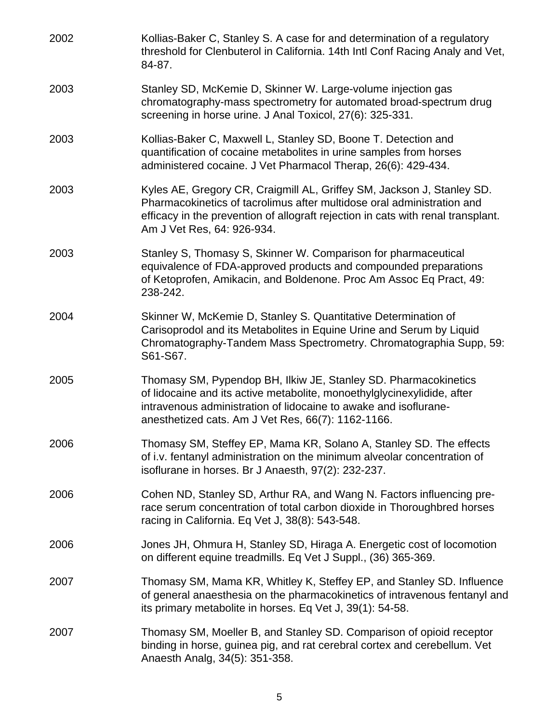| 2002 | Kollias-Baker C, Stanley S. A case for and determination of a regulatory<br>threshold for Clenbuterol in California. 14th Intl Conf Racing Analy and Vet,<br>84-87.                                                                                                  |
|------|----------------------------------------------------------------------------------------------------------------------------------------------------------------------------------------------------------------------------------------------------------------------|
| 2003 | Stanley SD, McKemie D, Skinner W. Large-volume injection gas<br>chromatography-mass spectrometry for automated broad-spectrum drug<br>screening in horse urine. J Anal Toxicol, 27(6): 325-331.                                                                      |
| 2003 | Kollias-Baker C, Maxwell L, Stanley SD, Boone T. Detection and<br>quantification of cocaine metabolites in urine samples from horses<br>administered cocaine. J Vet Pharmacol Therap, 26(6): 429-434.                                                                |
| 2003 | Kyles AE, Gregory CR, Craigmill AL, Griffey SM, Jackson J, Stanley SD.<br>Pharmacokinetics of tacrolimus after multidose oral administration and<br>efficacy in the prevention of allograft rejection in cats with renal transplant.<br>Am J Vet Res, 64: 926-934.   |
| 2003 | Stanley S, Thomasy S, Skinner W. Comparison for pharmaceutical<br>equivalence of FDA-approved products and compounded preparations<br>of Ketoprofen, Amikacin, and Boldenone. Proc Am Assoc Eq Pract, 49:<br>238-242.                                                |
| 2004 | Skinner W, McKemie D, Stanley S. Quantitative Determination of<br>Carisoprodol and its Metabolites in Equine Urine and Serum by Liquid<br>Chromatography-Tandem Mass Spectrometry. Chromatographia Supp, 59:<br>S61-S67.                                             |
| 2005 | Thomasy SM, Pypendop BH, Ilkiw JE, Stanley SD. Pharmacokinetics<br>of lidocaine and its active metabolite, monoethylglycinexylidide, after<br>intravenous administration of lidocaine to awake and isoflurane-<br>anesthetized cats. Am J Vet Res, 66(7): 1162-1166. |
| 2006 | Thomasy SM, Steffey EP, Mama KR, Solano A, Stanley SD. The effects<br>of i.v. fentanyl administration on the minimum alveolar concentration of<br>isoflurane in horses. Br J Anaesth, 97(2): 232-237.                                                                |
| 2006 | Cohen ND, Stanley SD, Arthur RA, and Wang N. Factors influencing pre-<br>race serum concentration of total carbon dioxide in Thoroughbred horses<br>racing in California. Eq Vet J, 38(8): 543-548.                                                                  |
| 2006 | Jones JH, Ohmura H, Stanley SD, Hiraga A. Energetic cost of locomotion<br>on different equine treadmills. Eq Vet J Suppl., (36) 365-369.                                                                                                                             |
| 2007 | Thomasy SM, Mama KR, Whitley K, Steffey EP, and Stanley SD. Influence<br>of general anaesthesia on the pharmacokinetics of intravenous fentanyl and<br>its primary metabolite in horses. Eq Vet J, 39(1): 54-58.                                                     |
| 2007 | Thomasy SM, Moeller B, and Stanley SD. Comparison of opioid receptor<br>binding in horse, guinea pig, and rat cerebral cortex and cerebellum. Vet<br>Anaesth Analg, 34(5): 351-358.                                                                                  |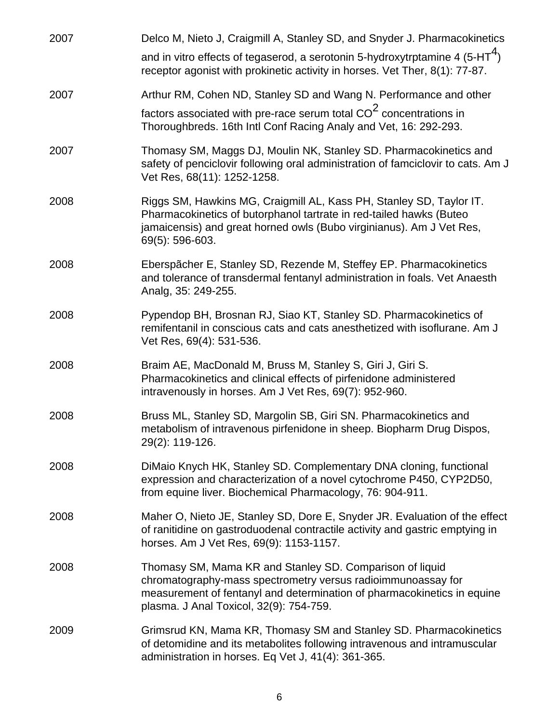| 2007 | Delco M, Nieto J, Craigmill A, Stanley SD, and Snyder J. Pharmacokinetics                                                                                                                                                                      |
|------|------------------------------------------------------------------------------------------------------------------------------------------------------------------------------------------------------------------------------------------------|
|      | and in vitro effects of tegaserod, a serotonin 5-hydroxytrptamine 4 (5-HT <sup>4</sup> )<br>receptor agonist with prokinetic activity in horses. Vet Ther, 8(1): 77-87.                                                                        |
| 2007 | Arthur RM, Cohen ND, Stanley SD and Wang N. Performance and other                                                                                                                                                                              |
|      | factors associated with pre-race serum total CO <sup>2</sup> concentrations in<br>Thoroughbreds. 16th Intl Conf Racing Analy and Vet, 16: 292-293.                                                                                             |
| 2007 | Thomasy SM, Maggs DJ, Moulin NK, Stanley SD. Pharmacokinetics and<br>safety of penciclovir following oral administration of famciclovir to cats. Am J<br>Vet Res, 68(11): 1252-1258.                                                           |
| 2008 | Riggs SM, Hawkins MG, Craigmill AL, Kass PH, Stanley SD, Taylor IT.<br>Pharmacokinetics of butorphanol tartrate in red-tailed hawks (Buteo<br>jamaicensis) and great horned owls (Bubo virginianus). Am J Vet Res,<br>69(5): 596-603.          |
| 2008 | Eberspächer E, Stanley SD, Rezende M, Steffey EP. Pharmacokinetics<br>and tolerance of transdermal fentanyl administration in foals. Vet Anaesth<br>Analg, 35: 249-255.                                                                        |
| 2008 | Pypendop BH, Brosnan RJ, Siao KT, Stanley SD. Pharmacokinetics of<br>remifentanil in conscious cats and cats anesthetized with isoflurane. Am J<br>Vet Res, 69(4): 531-536.                                                                    |
| 2008 | Braim AE, MacDonald M, Bruss M, Stanley S, Giri J, Giri S.<br>Pharmacokinetics and clinical effects of pirfenidone administered<br>intravenously in horses. Am J Vet Res, 69(7): 952-960.                                                      |
| 2008 | Bruss ML, Stanley SD, Margolin SB, Giri SN. Pharmacokinetics and<br>metabolism of intravenous pirfenidone in sheep. Biopharm Drug Dispos,<br>29(2): 119-126.                                                                                   |
| 2008 | DiMaio Knych HK, Stanley SD. Complementary DNA cloning, functional<br>expression and characterization of a novel cytochrome P450, CYP2D50,<br>from equine liver. Biochemical Pharmacology, 76: 904-911.                                        |
| 2008 | Maher O, Nieto JE, Stanley SD, Dore E, Snyder JR. Evaluation of the effect<br>of ranitidine on gastroduodenal contractile activity and gastric emptying in<br>horses. Am J Vet Res, 69(9): 1153-1157.                                          |
| 2008 | Thomasy SM, Mama KR and Stanley SD. Comparison of liquid<br>chromatography-mass spectrometry versus radioimmunoassay for<br>measurement of fentanyl and determination of pharmacokinetics in equine<br>plasma. J Anal Toxicol, 32(9): 754-759. |
| 2009 | Grimsrud KN, Mama KR, Thomasy SM and Stanley SD. Pharmacokinetics<br>of detomidine and its metabolites following intravenous and intramuscular<br>administration in horses. Eq Vet J, 41(4): 361-365.                                          |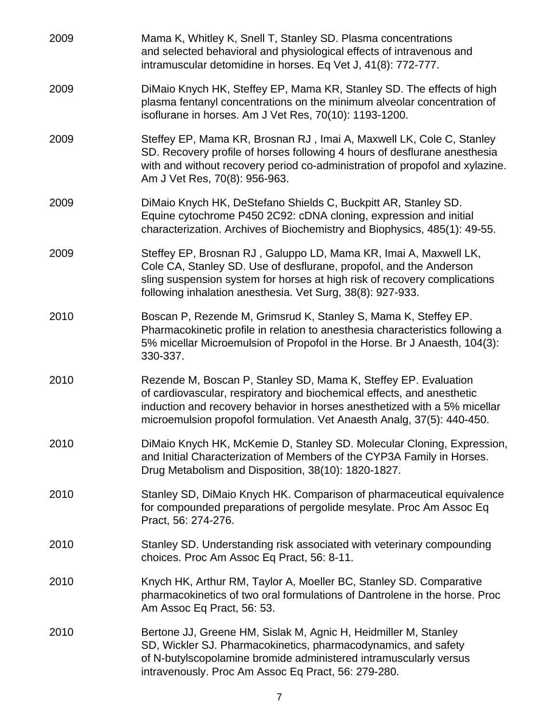| 2009 | Mama K, Whitley K, Snell T, Stanley SD. Plasma concentrations<br>and selected behavioral and physiological effects of intravenous and<br>intramuscular detomidine in horses. Eq Vet J, 41(8): 772-777.                                                                                           |
|------|--------------------------------------------------------------------------------------------------------------------------------------------------------------------------------------------------------------------------------------------------------------------------------------------------|
| 2009 | DiMaio Knych HK, Steffey EP, Mama KR, Stanley SD. The effects of high<br>plasma fentanyl concentrations on the minimum alveolar concentration of<br>isoflurane in horses. Am J Vet Res, 70(10): 1193-1200.                                                                                       |
| 2009 | Steffey EP, Mama KR, Brosnan RJ, Imai A, Maxwell LK, Cole C, Stanley<br>SD. Recovery profile of horses following 4 hours of desflurane anesthesia<br>with and without recovery period co-administration of propofol and xylazine.<br>Am J Vet Res, 70(8): 956-963.                               |
| 2009 | DiMaio Knych HK, DeStefano Shields C, Buckpitt AR, Stanley SD.<br>Equine cytochrome P450 2C92: cDNA cloning, expression and initial<br>characterization. Archives of Biochemistry and Biophysics, 485(1): 49-55.                                                                                 |
| 2009 | Steffey EP, Brosnan RJ, Galuppo LD, Mama KR, Imai A, Maxwell LK,<br>Cole CA, Stanley SD. Use of desflurane, propofol, and the Anderson<br>sling suspension system for horses at high risk of recovery complications<br>following inhalation anesthesia. Vet Surg, 38(8): 927-933.                |
| 2010 | Boscan P, Rezende M, Grimsrud K, Stanley S, Mama K, Steffey EP.<br>Pharmacokinetic profile in relation to anesthesia characteristics following a<br>5% micellar Microemulsion of Propofol in the Horse. Br J Anaesth, 104(3):<br>330-337.                                                        |
| 2010 | Rezende M, Boscan P, Stanley SD, Mama K, Steffey EP. Evaluation<br>of cardiovascular, respiratory and biochemical effects, and anesthetic<br>induction and recovery behavior in horses anesthetized with a 5% micellar<br>microemulsion propofol formulation. Vet Anaesth Analg, 37(5): 440-450. |
| 2010 | DiMaio Knych HK, McKemie D, Stanley SD. Molecular Cloning, Expression,<br>and Initial Characterization of Members of the CYP3A Family in Horses.<br>Drug Metabolism and Disposition, 38(10): 1820-1827.                                                                                          |
| 2010 | Stanley SD, DiMaio Knych HK. Comparison of pharmaceutical equivalence<br>for compounded preparations of pergolide mesylate. Proc Am Assoc Eq<br>Pract, 56: 274-276.                                                                                                                              |
| 2010 | Stanley SD. Understanding risk associated with veterinary compounding<br>choices. Proc Am Assoc Eq Pract, 56: 8-11.                                                                                                                                                                              |
| 2010 | Knych HK, Arthur RM, Taylor A, Moeller BC, Stanley SD. Comparative<br>pharmacokinetics of two oral formulations of Dantrolene in the horse. Proc<br>Am Assoc Eq Pract, 56: 53.                                                                                                                   |
| 2010 | Bertone JJ, Greene HM, Sislak M, Agnic H, Heidmiller M, Stanley<br>SD, Wickler SJ. Pharmacokinetics, pharmacodynamics, and safety<br>of N-butylscopolamine bromide administered intramuscularly versus<br>intravenously. Proc Am Assoc Eq Pract, 56: 279-280.                                    |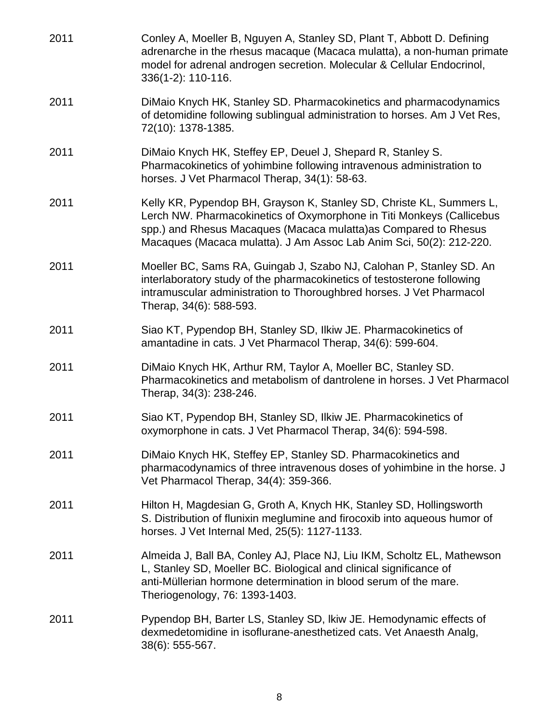| 2011 | Conley A, Moeller B, Nguyen A, Stanley SD, Plant T, Abbott D. Defining<br>adrenarche in the rhesus macaque (Macaca mulatta), a non-human primate<br>model for adrenal androgen secretion. Molecular & Cellular Endocrinol,<br>336(1-2): 110-116.                                         |
|------|------------------------------------------------------------------------------------------------------------------------------------------------------------------------------------------------------------------------------------------------------------------------------------------|
| 2011 | DiMaio Knych HK, Stanley SD. Pharmacokinetics and pharmacodynamics<br>of detomidine following sublingual administration to horses. Am J Vet Res,<br>72(10): 1378-1385.                                                                                                                   |
| 2011 | DiMaio Knych HK, Steffey EP, Deuel J, Shepard R, Stanley S.<br>Pharmacokinetics of yohimbine following intravenous administration to<br>horses. J Vet Pharmacol Therap, 34(1): 58-63.                                                                                                    |
| 2011 | Kelly KR, Pypendop BH, Grayson K, Stanley SD, Christe KL, Summers L,<br>Lerch NW. Pharmacokinetics of Oxymorphone in Titi Monkeys (Callicebus<br>spp.) and Rhesus Macaques (Macaca mulatta) as Compared to Rhesus<br>Macaques (Macaca mulatta). J Am Assoc Lab Anim Sci, 50(2): 212-220. |
| 2011 | Moeller BC, Sams RA, Guingab J, Szabo NJ, Calohan P, Stanley SD. An<br>interlaboratory study of the pharmacokinetics of testosterone following<br>intramuscular administration to Thoroughbred horses. J Vet Pharmacol<br>Therap, 34(6): 588-593.                                        |
| 2011 | Siao KT, Pypendop BH, Stanley SD, Ilkiw JE. Pharmacokinetics of<br>amantadine in cats. J Vet Pharmacol Therap, 34(6): 599-604.                                                                                                                                                           |
| 2011 | DiMaio Knych HK, Arthur RM, Taylor A, Moeller BC, Stanley SD.<br>Pharmacokinetics and metabolism of dantrolene in horses. J Vet Pharmacol<br>Therap, 34(3): 238-246.                                                                                                                     |
| 2011 | Siao KT, Pypendop BH, Stanley SD, Ilkiw JE. Pharmacokinetics of<br>oxymorphone in cats. J Vet Pharmacol Therap, 34(6): 594-598.                                                                                                                                                          |
| 2011 | DiMaio Knych HK, Steffey EP, Stanley SD. Pharmacokinetics and<br>pharmacodynamics of three intravenous doses of yohimbine in the horse. J<br>Vet Pharmacol Therap, 34(4): 359-366.                                                                                                       |
| 2011 | Hilton H, Magdesian G, Groth A, Knych HK, Stanley SD, Hollingsworth<br>S. Distribution of flunixin meglumine and firocoxib into aqueous humor of<br>horses. J Vet Internal Med, 25(5): 1127-1133.                                                                                        |
| 2011 | Almeida J, Ball BA, Conley AJ, Place NJ, Liu IKM, Scholtz EL, Mathewson<br>L, Stanley SD, Moeller BC. Biological and clinical significance of<br>anti-Müllerian hormone determination in blood serum of the mare.<br>Theriogenology, 76: 1393-1403.                                      |
| 2011 | Pypendop BH, Barter LS, Stanley SD, Ikiw JE. Hemodynamic effects of<br>dexmedetomidine in isoflurane-anesthetized cats. Vet Anaesth Analg,<br>38(6): 555-567.                                                                                                                            |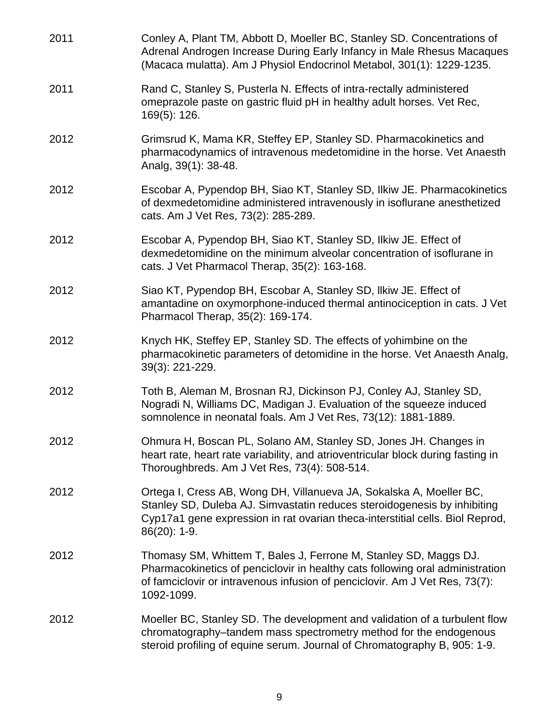| 2011 | Conley A, Plant TM, Abbott D, Moeller BC, Stanley SD. Concentrations of<br>Adrenal Androgen Increase During Early Infancy in Male Rhesus Macaques<br>(Macaca mulatta). Am J Physiol Endocrinol Metabol, 301(1): 1229-1235.                          |
|------|-----------------------------------------------------------------------------------------------------------------------------------------------------------------------------------------------------------------------------------------------------|
| 2011 | Rand C, Stanley S, Pusterla N. Effects of intra-rectally administered<br>omeprazole paste on gastric fluid pH in healthy adult horses. Vet Rec,<br>169(5): 126.                                                                                     |
| 2012 | Grimsrud K, Mama KR, Steffey EP, Stanley SD. Pharmacokinetics and<br>pharmacodynamics of intravenous medetomidine in the horse. Vet Anaesth<br>Analg, 39(1): 38-48.                                                                                 |
| 2012 | Escobar A, Pypendop BH, Siao KT, Stanley SD, Ilkiw JE. Pharmacokinetics<br>of dexmedetomidine administered intravenously in isoflurane anesthetized<br>cats. Am J Vet Res, 73(2): 285-289.                                                          |
| 2012 | Escobar A, Pypendop BH, Siao KT, Stanley SD, Ilkiw JE. Effect of<br>dexmedetomidine on the minimum alveolar concentration of isoflurane in<br>cats. J Vet Pharmacol Therap, 35(2): 163-168.                                                         |
| 2012 | Siao KT, Pypendop BH, Escobar A, Stanley SD, Ilkiw JE. Effect of<br>amantadine on oxymorphone-induced thermal antinociception in cats. J Vet<br>Pharmacol Therap, 35(2): 169-174.                                                                   |
| 2012 | Knych HK, Steffey EP, Stanley SD. The effects of yohimbine on the<br>pharmacokinetic parameters of detomidine in the horse. Vet Anaesth Analg,<br>39(3): 221-229.                                                                                   |
| 2012 | Toth B, Aleman M, Brosnan RJ, Dickinson PJ, Conley AJ, Stanley SD,<br>Nogradi N, Williams DC, Madigan J. Evaluation of the squeeze induced<br>somnolence in neonatal foals. Am J Vet Res, 73(12): 1881-1889.                                        |
| 2012 | Ohmura H, Boscan PL, Solano AM, Stanley SD, Jones JH. Changes in<br>heart rate, heart rate variability, and atrioventricular block during fasting in<br>Thoroughbreds. Am J Vet Res, 73(4): 508-514.                                                |
| 2012 | Ortega I, Cress AB, Wong DH, Villanueva JA, Sokalska A, Moeller BC,<br>Stanley SD, Duleba AJ. Simvastatin reduces steroidogenesis by inhibiting<br>Cyp17a1 gene expression in rat ovarian theca-interstitial cells. Biol Reprod,<br>$86(20)$ : 1-9. |
| 2012 | Thomasy SM, Whittem T, Bales J, Ferrone M, Stanley SD, Maggs DJ.<br>Pharmacokinetics of penciclovir in healthy cats following oral administration<br>of famciclovir or intravenous infusion of penciclovir. Am J Vet Res, 73(7):<br>1092-1099.      |
| 2012 | Moeller BC, Stanley SD. The development and validation of a turbulent flow<br>chromatography-tandem mass spectrometry method for the endogenous<br>steroid profiling of equine serum. Journal of Chromatography B, 905: 1-9.                        |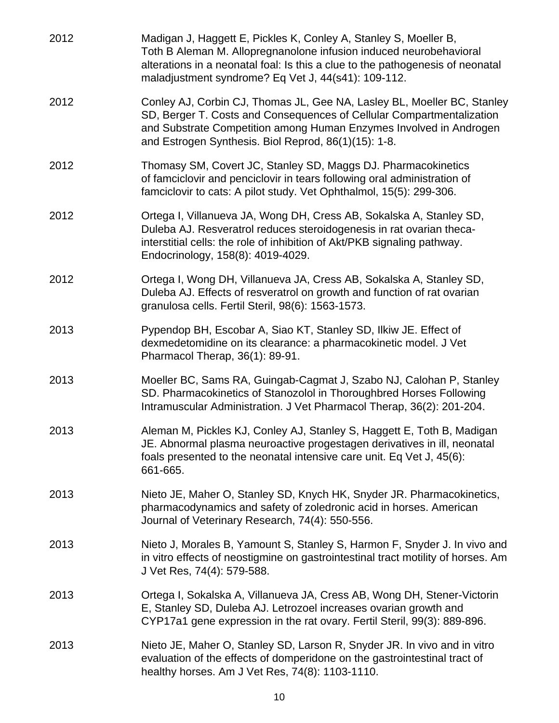| 2012 | Madigan J, Haggett E, Pickles K, Conley A, Stanley S, Moeller B,<br>Toth B Aleman M. Allopregnanolone infusion induced neurobehavioral<br>alterations in a neonatal foal: Is this a clue to the pathogenesis of neonatal<br>maladjustment syndrome? Eq Vet J, 44(s41): 109-112. |
|------|---------------------------------------------------------------------------------------------------------------------------------------------------------------------------------------------------------------------------------------------------------------------------------|
| 2012 | Conley AJ, Corbin CJ, Thomas JL, Gee NA, Lasley BL, Moeller BC, Stanley<br>SD, Berger T. Costs and Consequences of Cellular Compartmentalization<br>and Substrate Competition among Human Enzymes Involved in Androgen<br>and Estrogen Synthesis. Biol Reprod, 86(1)(15): 1-8.  |
| 2012 | Thomasy SM, Covert JC, Stanley SD, Maggs DJ. Pharmacokinetics<br>of famciclovir and penciclovir in tears following oral administration of<br>famciclovir to cats: A pilot study. Vet Ophthalmol, 15(5): 299-306.                                                                |
| 2012 | Ortega I, Villanueva JA, Wong DH, Cress AB, Sokalska A, Stanley SD,<br>Duleba AJ. Resveratrol reduces steroidogenesis in rat ovarian theca-<br>interstitial cells: the role of inhibition of Akt/PKB signaling pathway.<br>Endocrinology, 158(8): 4019-4029.                    |
| 2012 | Ortega I, Wong DH, Villanueva JA, Cress AB, Sokalska A, Stanley SD,<br>Duleba AJ. Effects of resveratrol on growth and function of rat ovarian<br>granulosa cells. Fertil Steril, 98(6): 1563-1573.                                                                             |
| 2013 | Pypendop BH, Escobar A, Siao KT, Stanley SD, Ilkiw JE. Effect of<br>dexmedetomidine on its clearance: a pharmacokinetic model. J Vet<br>Pharmacol Therap, 36(1): 89-91.                                                                                                         |
| 2013 | Moeller BC, Sams RA, Guingab-Cagmat J, Szabo NJ, Calohan P, Stanley<br>SD. Pharmacokinetics of Stanozolol in Thoroughbred Horses Following<br>Intramuscular Administration. J Vet Pharmacol Therap, 36(2): 201-204.                                                             |
| 2013 | Aleman M, Pickles KJ, Conley AJ, Stanley S, Haggett E, Toth B, Madigan<br>JE. Abnormal plasma neuroactive progestagen derivatives in ill, neonatal<br>foals presented to the neonatal intensive care unit. Eq Vet J, 45(6):<br>661-665.                                         |
| 2013 | Nieto JE, Maher O, Stanley SD, Knych HK, Snyder JR. Pharmacokinetics,<br>pharmacodynamics and safety of zoledronic acid in horses. American<br>Journal of Veterinary Research, 74(4): 550-556.                                                                                  |
| 2013 | Nieto J, Morales B, Yamount S, Stanley S, Harmon F, Snyder J. In vivo and<br>in vitro effects of neostigmine on gastrointestinal tract motility of horses. Am<br>J Vet Res, 74(4): 579-588.                                                                                     |
| 2013 | Ortega I, Sokalska A, Villanueva JA, Cress AB, Wong DH, Stener-Victorin<br>E, Stanley SD, Duleba AJ. Letrozoel increases ovarian growth and<br>CYP17a1 gene expression in the rat ovary. Fertil Steril, 99(3): 889-896.                                                         |
| 2013 | Nieto JE, Maher O, Stanley SD, Larson R, Snyder JR. In vivo and in vitro<br>evaluation of the effects of domperidone on the gastrointestinal tract of<br>healthy horses. Am J Vet Res, 74(8): 1103-1110.                                                                        |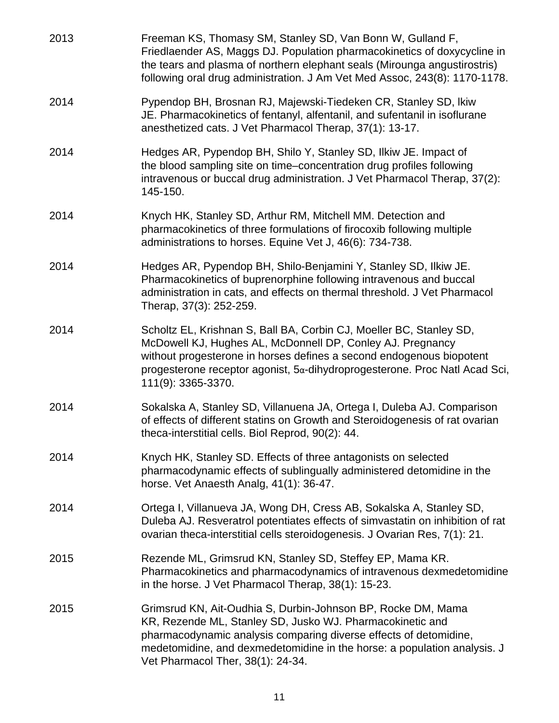| 2013 | Freeman KS, Thomasy SM, Stanley SD, Van Bonn W, Gulland F,<br>Friedlaender AS, Maggs DJ. Population pharmacokinetics of doxycycline in<br>the tears and plasma of northern elephant seals (Mirounga angustirostris)<br>following oral drug administration. J Am Vet Med Assoc, 243(8): 1170-1178.                     |
|------|-----------------------------------------------------------------------------------------------------------------------------------------------------------------------------------------------------------------------------------------------------------------------------------------------------------------------|
| 2014 | Pypendop BH, Brosnan RJ, Majewski-Tiedeken CR, Stanley SD, Ikiw<br>JE. Pharmacokinetics of fentanyl, alfentanil, and sufentanil in isoflurane<br>anesthetized cats. J Vet Pharmacol Therap, 37(1): 13-17.                                                                                                             |
| 2014 | Hedges AR, Pypendop BH, Shilo Y, Stanley SD, Ilkiw JE. Impact of<br>the blood sampling site on time-concentration drug profiles following<br>intravenous or buccal drug administration. J Vet Pharmacol Therap, 37(2):<br>145-150.                                                                                    |
| 2014 | Knych HK, Stanley SD, Arthur RM, Mitchell MM. Detection and<br>pharmacokinetics of three formulations of firocoxib following multiple<br>administrations to horses. Equine Vet J, 46(6): 734-738.                                                                                                                     |
| 2014 | Hedges AR, Pypendop BH, Shilo-Benjamini Y, Stanley SD, Ilkiw JE.<br>Pharmacokinetics of buprenorphine following intravenous and buccal<br>administration in cats, and effects on thermal threshold. J Vet Pharmacol<br>Therap, 37(3): 252-259.                                                                        |
| 2014 | Scholtz EL, Krishnan S, Ball BA, Corbin CJ, Moeller BC, Stanley SD,<br>McDowell KJ, Hughes AL, McDonnell DP, Conley AJ. Pregnancy<br>without progesterone in horses defines a second endogenous biopotent<br>progesterone receptor agonist, $5\alpha$ -dihydroprogesterone. Proc Natl Acad Sci,<br>111(9): 3365-3370. |
| 2014 | Sokalska A, Stanley SD, Villanuena JA, Ortega I, Duleba AJ. Comparison<br>of effects of different statins on Growth and Steroidogenesis of rat ovarian<br>theca-interstitial cells. Biol Reprod, 90(2): 44.                                                                                                           |
| 2014 | Knych HK, Stanley SD. Effects of three antagonists on selected<br>pharmacodynamic effects of sublingually administered detomidine in the<br>horse. Vet Anaesth Analg, 41(1): 36-47.                                                                                                                                   |
| 2014 | Ortega I, Villanueva JA, Wong DH, Cress AB, Sokalska A, Stanley SD,<br>Duleba AJ. Resveratrol potentiates effects of simvastatin on inhibition of rat<br>ovarian theca-interstitial cells steroidogenesis. J Ovarian Res, 7(1): 21.                                                                                   |
| 2015 | Rezende ML, Grimsrud KN, Stanley SD, Steffey EP, Mama KR.<br>Pharmacokinetics and pharmacodynamics of intravenous dexmedetomidine<br>in the horse. J Vet Pharmacol Therap, 38(1): 15-23.                                                                                                                              |
| 2015 | Grimsrud KN, Ait-Oudhia S, Durbin-Johnson BP, Rocke DM, Mama<br>KR, Rezende ML, Stanley SD, Jusko WJ. Pharmacokinetic and<br>pharmacodynamic analysis comparing diverse effects of detomidine,<br>medetomidine, and dexmedetomidine in the horse: a population analysis. J<br>Vet Pharmacol Ther, 38(1): 24-34.       |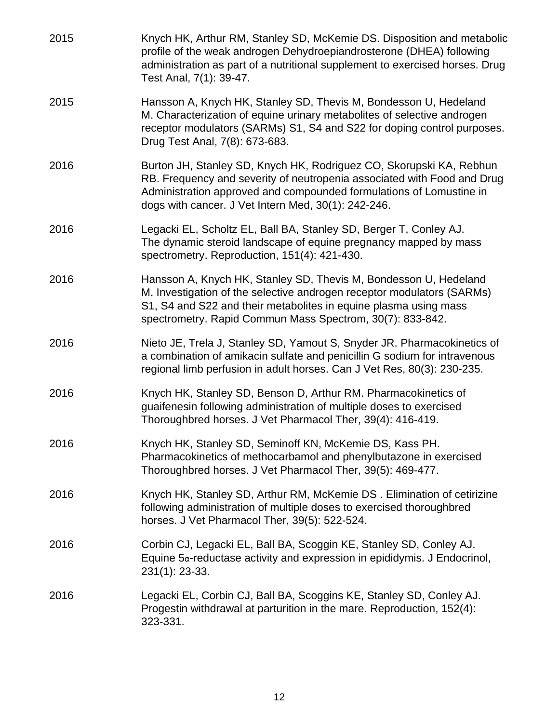2015 Knych HK, Arthur RM, Stanley SD, McKemie DS. Disposition and metabolic profile of the weak androgen Dehydroepiandrosterone (DHEA) following administration as part of a nutritional supplement to exercised horses. Drug Test Anal, 7(1): 39-47. 2015 Hansson A, Knych HK, Stanley SD, Thevis M, Bondesson U, Hedeland M. Characterization of equine urinary metabolites of selective androgen receptor modulators (SARMs) S1, S4 and S22 for doping control purposes. Drug Test Anal, 7(8): 673-683. 2016 Burton JH, Stanley SD, Knych HK, Rodriguez CO, Skorupski KA, Rebhun RB. Frequency and severity of neutropenia associated with Food and Drug Administration approved and compounded formulations of Lomustine in dogs with cancer. J Vet Intern Med, 30(1): 242-246. 2016 Legacki EL, Scholtz EL, Ball BA, Stanley SD, Berger T, Conley AJ. The dynamic steroid landscape of equine pregnancy mapped by mass spectrometry. Reproduction, 151(4): 421-430. 2016 Hansson A, Knych HK, Stanley SD, Thevis M, Bondesson U, Hedeland M. Investigation of the selective androgen receptor modulators (SARMs) S1, S4 and S22 and their metabolites in equine plasma using mass spectrometry. Rapid Commun Mass Spectrom, 30(7): 833-842. 2016 Nieto JE, Trela J, Stanley SD, Yamout S, Snyder JR. Pharmacokinetics of a combination of amikacin sulfate and penicillin G sodium for intravenous regional limb perfusion in adult horses. Can J Vet Res, 80(3): 230-235. 2016 Knych HK, Stanley SD, Benson D, Arthur RM. Pharmacokinetics of guaifenesin following administration of multiple doses to exercised Thoroughbred horses. J Vet Pharmacol Ther, 39(4): 416-419. 2016 Knych HK, Stanley SD, Seminoff KN, McKemie DS, Kass PH. Pharmacokinetics of methocarbamol and phenylbutazone in exercised Thoroughbred horses. J Vet Pharmacol Ther, 39(5): 469-477. 2016 Knych HK, Stanley SD, Arthur RM, McKemie DS . Elimination of cetirizine following administration of multiple doses to exercised thoroughbred horses. J Vet Pharmacol Ther, 39(5): 522-524. 2016 Corbin CJ, Legacki EL, Ball BA, Scoggin KE, Stanley SD, Conley AJ. Equine  $5\alpha$ -reductase activity and expression in epididymis. J Endocrinol, 231(1): 23-33. 2016 Legacki EL, Corbin CJ, Ball BA, Scoggins KE, Stanley SD, Conley AJ. Progestin withdrawal at parturition in the mare. Reproduction, 152(4): 323-331.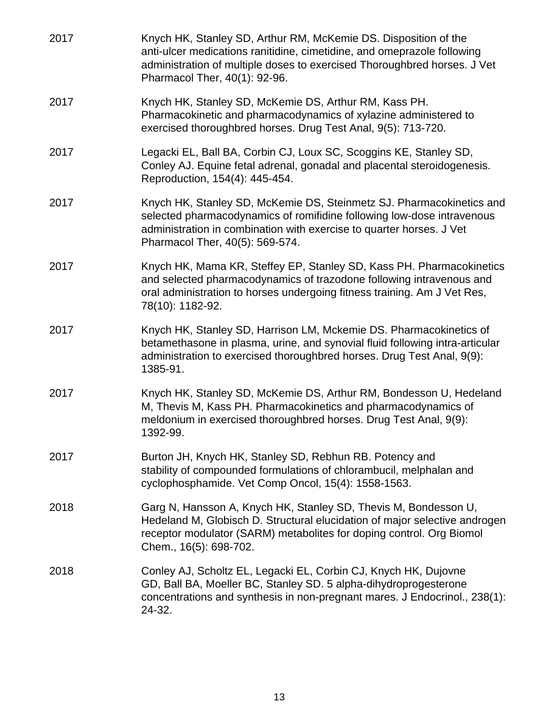| 2017 | Knych HK, Stanley SD, Arthur RM, McKemie DS. Disposition of the<br>anti-ulcer medications ranitidine, cimetidine, and omeprazole following<br>administration of multiple doses to exercised Thoroughbred horses. J Vet<br>Pharmacol Ther, 40(1): 92-96.   |
|------|-----------------------------------------------------------------------------------------------------------------------------------------------------------------------------------------------------------------------------------------------------------|
| 2017 | Knych HK, Stanley SD, McKemie DS, Arthur RM, Kass PH.<br>Pharmacokinetic and pharmacodynamics of xylazine administered to<br>exercised thoroughbred horses. Drug Test Anal, 9(5): 713-720.                                                                |
| 2017 | Legacki EL, Ball BA, Corbin CJ, Loux SC, Scoggins KE, Stanley SD,<br>Conley AJ. Equine fetal adrenal, gonadal and placental steroidogenesis.<br>Reproduction, 154(4): 445-454.                                                                            |
| 2017 | Knych HK, Stanley SD, McKemie DS, Steinmetz SJ. Pharmacokinetics and<br>selected pharmacodynamics of romifidine following low-dose intravenous<br>administration in combination with exercise to quarter horses. J Vet<br>Pharmacol Ther, 40(5): 569-574. |
| 2017 | Knych HK, Mama KR, Steffey EP, Stanley SD, Kass PH. Pharmacokinetics<br>and selected pharmacodynamics of trazodone following intravenous and<br>oral administration to horses undergoing fitness training. Am J Vet Res,<br>78(10): 1182-92.              |
| 2017 | Knych HK, Stanley SD, Harrison LM, Mckemie DS. Pharmacokinetics of<br>betamethasone in plasma, urine, and synovial fluid following intra-articular<br>administration to exercised thoroughbred horses. Drug Test Anal, 9(9):<br>1385-91.                  |
| 2017 | Knych HK, Stanley SD, McKemie DS, Arthur RM, Bondesson U, Hedeland<br>M, Thevis M, Kass PH. Pharmacokinetics and pharmacodynamics of<br>meldonium in exercised thoroughbred horses. Drug Test Anal, 9(9):<br>1392-99.                                     |
| 2017 | Burton JH, Knych HK, Stanley SD, Rebhun RB. Potency and<br>stability of compounded formulations of chlorambucil, melphalan and<br>cyclophosphamide. Vet Comp Oncol, 15(4): 1558-1563.                                                                     |
| 2018 | Garg N, Hansson A, Knych HK, Stanley SD, Thevis M, Bondesson U,<br>Hedeland M, Globisch D. Structural elucidation of major selective androgen<br>receptor modulator (SARM) metabolites for doping control. Org Biomol<br>Chem., 16(5): 698-702.           |
| 2018 | Conley AJ, Scholtz EL, Legacki EL, Corbin CJ, Knych HK, Dujovne<br>GD, Ball BA, Moeller BC, Stanley SD. 5 alpha-dihydroprogesterone<br>concentrations and synthesis in non-pregnant mares. J Endocrinol., 238(1):<br>24-32.                               |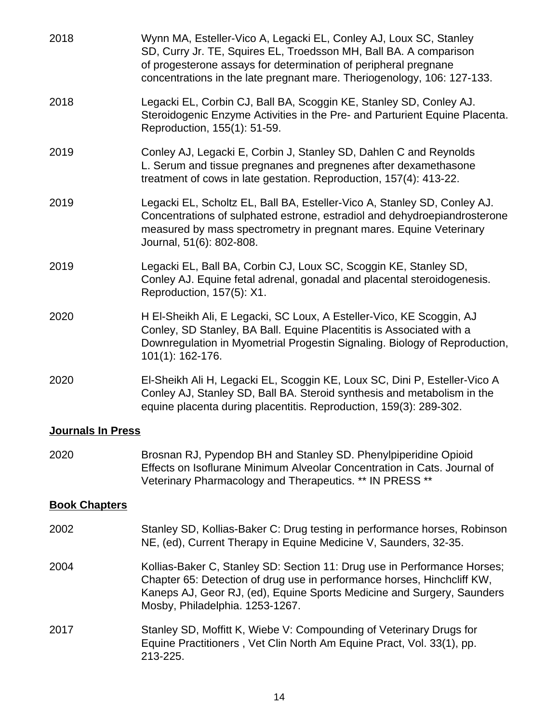| 2018                     | Wynn MA, Esteller-Vico A, Legacki EL, Conley AJ, Loux SC, Stanley<br>SD, Curry Jr. TE, Squires EL, Troedsson MH, Ball BA. A comparison<br>of progesterone assays for determination of peripheral pregnane<br>concentrations in the late pregnant mare. Theriogenology, 106: 127-133. |  |  |
|--------------------------|--------------------------------------------------------------------------------------------------------------------------------------------------------------------------------------------------------------------------------------------------------------------------------------|--|--|
| 2018                     | Legacki EL, Corbin CJ, Ball BA, Scoggin KE, Stanley SD, Conley AJ.<br>Steroidogenic Enzyme Activities in the Pre- and Parturient Equine Placenta.<br>Reproduction, 155(1): 51-59.                                                                                                    |  |  |
| 2019                     | Conley AJ, Legacki E, Corbin J, Stanley SD, Dahlen C and Reynolds<br>L. Serum and tissue pregnanes and pregnenes after dexamethasone<br>treatment of cows in late gestation. Reproduction, 157(4): 413-22.                                                                           |  |  |
| 2019                     | Legacki EL, Scholtz EL, Ball BA, Esteller-Vico A, Stanley SD, Conley AJ.<br>Concentrations of sulphated estrone, estradiol and dehydroepiandrosterone<br>measured by mass spectrometry in pregnant mares. Equine Veterinary<br>Journal, 51(6): 802-808.                              |  |  |
| 2019                     | Legacki EL, Ball BA, Corbin CJ, Loux SC, Scoggin KE, Stanley SD,<br>Conley AJ. Equine fetal adrenal, gonadal and placental steroidogenesis.<br>Reproduction, 157(5): X1.                                                                                                             |  |  |
| 2020                     | H El-Sheikh Ali, E Legacki, SC Loux, A Esteller-Vico, KE Scoggin, AJ<br>Conley, SD Stanley, BA Ball. Equine Placentitis is Associated with a<br>Downregulation in Myometrial Progestin Signaling. Biology of Reproduction,<br>101(1): 162-176.                                       |  |  |
| 2020                     | El-Sheikh Ali H, Legacki EL, Scoggin KE, Loux SC, Dini P, Esteller-Vico A<br>Conley AJ, Stanley SD, Ball BA. Steroid synthesis and metabolism in the<br>equine placenta during placentitis. Reproduction, 159(3): 289-302.                                                           |  |  |
| <b>Journals In Press</b> |                                                                                                                                                                                                                                                                                      |  |  |
| 2020                     | Brosnan RJ, Pypendop BH and Stanley SD. Phenylpiperidine Opioid<br>Effects on Isoflurane Minimum Alveolar Concentration in Cats. Journal of<br>Veterinary Pharmacology and Therapeutics. ** IN PRESS **                                                                              |  |  |
| <b>Book Chapters</b>     |                                                                                                                                                                                                                                                                                      |  |  |
| 2002                     | Stanley SD, Kollias-Baker C: Drug testing in performance horses, Robinson<br>NE, (ed), Current Therapy in Equine Medicine V, Saunders, 32-35.                                                                                                                                        |  |  |
| 2004                     | Kollias-Baker C, Stanley SD: Section 11: Drug use in Performance Horses;<br>Chapter 65: Detection of drug use in performance horses, Hinchcliff KW,<br>Kaneps AJ, Geor RJ, (ed), Equine Sports Medicine and Surgery, Saunders<br>Mosby, Philadelphia. 1253-1267.                     |  |  |
| 2017                     | Stanley SD, Moffitt K, Wiebe V: Compounding of Veterinary Drugs for<br>Equine Practitioners, Vet Clin North Am Equine Pract, Vol. 33(1), pp.<br>213-225.                                                                                                                             |  |  |